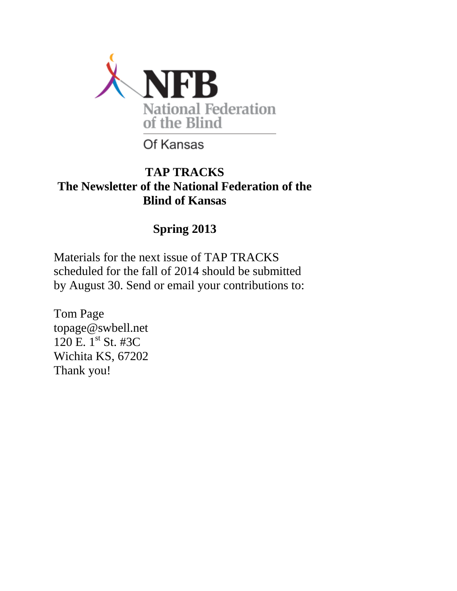

# Of Kansas

## **TAP TRACKS The Newsletter of the National Federation of the Blind of Kansas**

# **Spring 2013**

Materials for the next issue of TAP TRACKS scheduled for the fall of 2014 should be submitted by August 30. Send or email your contributions to:

Tom Page topage@swbell.net 120 E. 1<sup>st</sup> St. #3C Wichita KS, 67202 Thank you!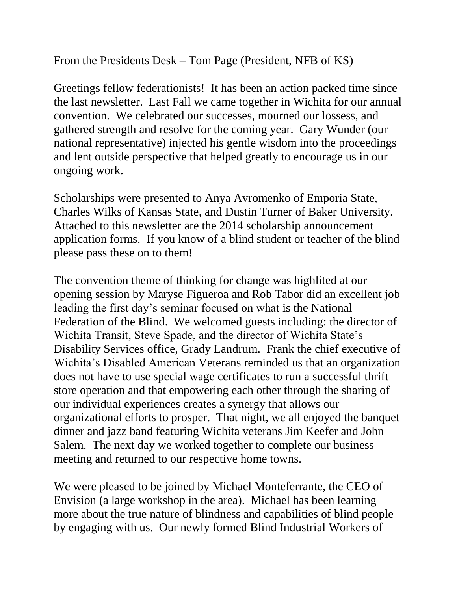From the Presidents Desk – Tom Page (President, NFB of KS)

Greetings fellow federationists! It has been an action packed time since the last newsletter. Last Fall we came together in Wichita for our annual convention. We celebrated our successes, mourned our lossess, and gathered strength and resolve for the coming year. Gary Wunder (our national representative) injected his gentle wisdom into the proceedings and lent outside perspective that helped greatly to encourage us in our ongoing work.

Scholarships were presented to Anya Avromenko of Emporia State, Charles Wilks of Kansas State, and Dustin Turner of Baker University. Attached to this newsletter are the 2014 scholarship announcement application forms. If you know of a blind student or teacher of the blind please pass these on to them!

The convention theme of thinking for change was highlited at our opening session by Maryse Figueroa and Rob Tabor did an excellent job leading the first day's seminar focused on what is the National Federation of the Blind. We welcomed guests including: the director of Wichita Transit, Steve Spade, and the director of Wichita State's Disability Services office, Grady Landrum. Frank the chief executive of Wichita's Disabled American Veterans reminded us that an organization does not have to use special wage certificates to run a successful thrift store operation and that empowering each other through the sharing of our individual experiences creates a synergy that allows our organizational efforts to prosper. That night, we all enjoyed the banquet dinner and jazz band featuring Wichita veterans Jim Keefer and John Salem. The next day we worked together to complete our business meeting and returned to our respective home towns.

We were pleased to be joined by Michael Monteferrante, the CEO of Envision (a large workshop in the area). Michael has been learning more about the true nature of blindness and capabilities of blind people by engaging with us. Our newly formed Blind Industrial Workers of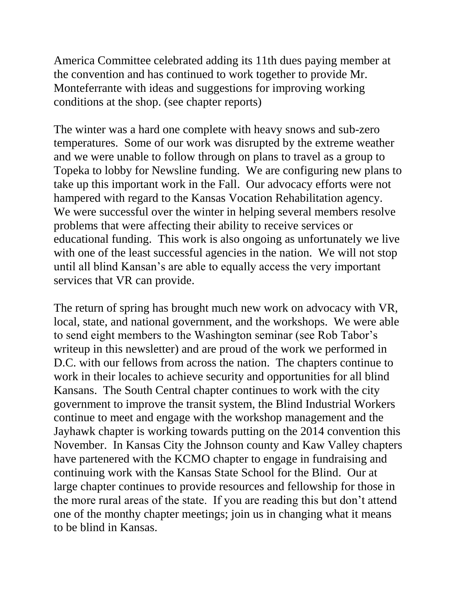America Committee celebrated adding its 11th dues paying member at the convention and has continued to work together to provide Mr. Monteferrante with ideas and suggestions for improving working conditions at the shop. (see chapter reports)

The winter was a hard one complete with heavy snows and sub-zero temperatures. Some of our work was disrupted by the extreme weather and we were unable to follow through on plans to travel as a group to Topeka to lobby for Newsline funding. We are configuring new plans to take up this important work in the Fall. Our advocacy efforts were not hampered with regard to the Kansas Vocation Rehabilitation agency. We were successful over the winter in helping several members resolve problems that were affecting their ability to receive services or educational funding. This work is also ongoing as unfortunately we live with one of the least successful agencies in the nation. We will not stop until all blind Kansan's are able to equally access the very important services that VR can provide.

The return of spring has brought much new work on advocacy with VR, local, state, and national government, and the workshops. We were able to send eight members to the Washington seminar (see Rob Tabor's writeup in this newsletter) and are proud of the work we performed in D.C. with our fellows from across the nation. The chapters continue to work in their locales to achieve security and opportunities for all blind Kansans. The South Central chapter continues to work with the city government to improve the transit system, the Blind Industrial Workers continue to meet and engage with the workshop management and the Jayhawk chapter is working towards putting on the 2014 convention this November. In Kansas City the Johnson county and Kaw Valley chapters have partenered with the KCMO chapter to engage in fundraising and continuing work with the Kansas State School for the Blind. Our at large chapter continues to provide resources and fellowship for those in the more rural areas of the state. If you are reading this but don't attend one of the monthy chapter meetings; join us in changing what it means to be blind in Kansas.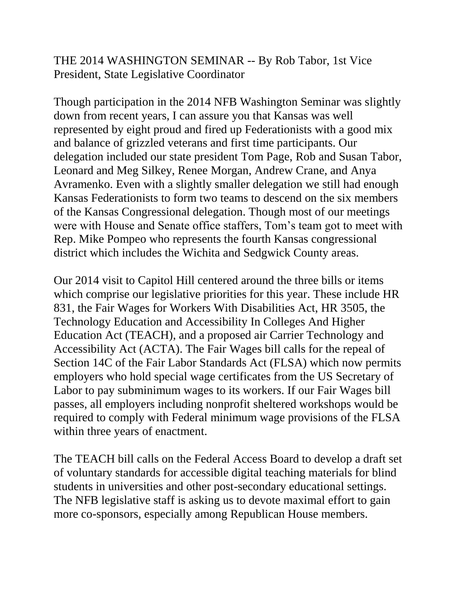THE 2014 WASHINGTON SEMINAR -- By Rob Tabor, 1st Vice President, State Legislative Coordinator

Though participation in the 2014 NFB Washington Seminar was slightly down from recent years, I can assure you that Kansas was well represented by eight proud and fired up Federationists with a good mix and balance of grizzled veterans and first time participants. Our delegation included our state president Tom Page, Rob and Susan Tabor, Leonard and Meg Silkey, Renee Morgan, Andrew Crane, and Anya Avramenko. Even with a slightly smaller delegation we still had enough Kansas Federationists to form two teams to descend on the six members of the Kansas Congressional delegation. Though most of our meetings were with House and Senate office staffers, Tom's team got to meet with Rep. Mike Pompeo who represents the fourth Kansas congressional district which includes the Wichita and Sedgwick County areas.

Our 2014 visit to Capitol Hill centered around the three bills or items which comprise our legislative priorities for this year. These include HR 831, the Fair Wages for Workers With Disabilities Act, HR 3505, the Technology Education and Accessibility In Colleges And Higher Education Act (TEACH), and a proposed air Carrier Technology and Accessibility Act (ACTA). The Fair Wages bill calls for the repeal of Section 14C of the Fair Labor Standards Act (FLSA) which now permits employers who hold special wage certificates from the US Secretary of Labor to pay subminimum wages to its workers. If our Fair Wages bill passes, all employers including nonprofit sheltered workshops would be required to comply with Federal minimum wage provisions of the FLSA within three years of enactment.

The TEACH bill calls on the Federal Access Board to develop a draft set of voluntary standards for accessible digital teaching materials for blind students in universities and other post-secondary educational settings. The NFB legislative staff is asking us to devote maximal effort to gain more co-sponsors, especially among Republican House members.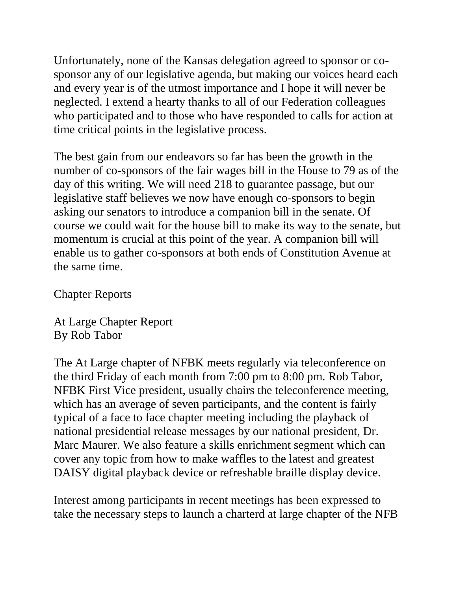Unfortunately, none of the Kansas delegation agreed to sponsor or cosponsor any of our legislative agenda, but making our voices heard each and every year is of the utmost importance and I hope it will never be neglected. I extend a hearty thanks to all of our Federation colleagues who participated and to those who have responded to calls for action at time critical points in the legislative process.

The best gain from our endeavors so far has been the growth in the number of co-sponsors of the fair wages bill in the House to 79 as of the day of this writing. We will need 218 to guarantee passage, but our legislative staff believes we now have enough co-sponsors to begin asking our senators to introduce a companion bill in the senate. Of course we could wait for the house bill to make its way to the senate, but momentum is crucial at this point of the year. A companion bill will enable us to gather co-sponsors at both ends of Constitution Avenue at the same time.

Chapter Reports

At Large Chapter Report By Rob Tabor

The At Large chapter of NFBK meets regularly via teleconference on the third Friday of each month from 7:00 pm to 8:00 pm. Rob Tabor, NFBK First Vice president, usually chairs the teleconference meeting, which has an average of seven participants, and the content is fairly typical of a face to face chapter meeting including the playback of national presidential release messages by our national president, Dr. Marc Maurer. We also feature a skills enrichment segment which can cover any topic from how to make waffles to the latest and greatest DAISY digital playback device or refreshable braille display device.

Interest among participants in recent meetings has been expressed to take the necessary steps to launch a charterd at large chapter of the NFB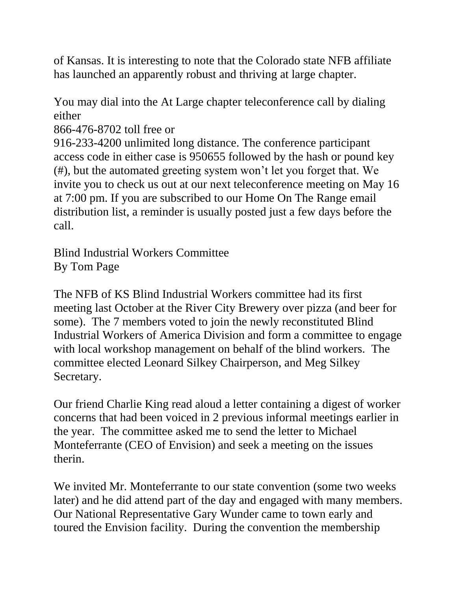of Kansas. It is interesting to note that the Colorado state NFB affiliate has launched an apparently robust and thriving at large chapter.

You may dial into the At Large chapter teleconference call by dialing either

866-476-8702 toll free or

916-233-4200 unlimited long distance. The conference participant access code in either case is 950655 followed by the hash or pound key (#), but the automated greeting system won't let you forget that. We invite you to check us out at our next teleconference meeting on May 16 at 7:00 pm. If you are subscribed to our Home On The Range email distribution list, a reminder is usually posted just a few days before the call.

Blind Industrial Workers Committee By Tom Page

The NFB of KS Blind Industrial Workers committee had its first meeting last October at the River City Brewery over pizza (and beer for some). The 7 members voted to join the newly reconstituted Blind Industrial Workers of America Division and form a committee to engage with local workshop management on behalf of the blind workers. The committee elected Leonard Silkey Chairperson, and Meg Silkey Secretary.

Our friend Charlie King read aloud a letter containing a digest of worker concerns that had been voiced in 2 previous informal meetings earlier in the year. The committee asked me to send the letter to Michael Monteferrante (CEO of Envision) and seek a meeting on the issues therin.

We invited Mr. Monteferrante to our state convention (some two weeks later) and he did attend part of the day and engaged with many members. Our National Representative Gary Wunder came to town early and toured the Envision facility. During the convention the membership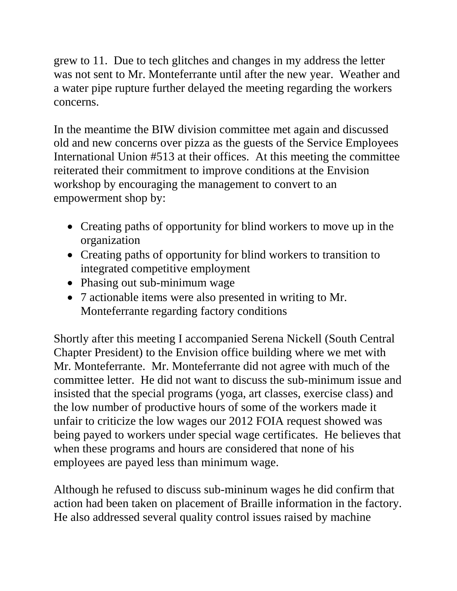grew to 11. Due to tech glitches and changes in my address the letter was not sent to Mr. Monteferrante until after the new year. Weather and a water pipe rupture further delayed the meeting regarding the workers concerns.

In the meantime the BIW division committee met again and discussed old and new concerns over pizza as the guests of the Service Employees International Union #513 at their offices. At this meeting the committee reiterated their commitment to improve conditions at the Envision workshop by encouraging the management to convert to an empowerment shop by:

- Creating paths of opportunity for blind workers to move up in the organization
- Creating paths of opportunity for blind workers to transition to integrated competitive employment
- Phasing out sub-minimum wage
- 7 actionable items were also presented in writing to Mr. Monteferrante regarding factory conditions

Shortly after this meeting I accompanied Serena Nickell (South Central Chapter President) to the Envision office building where we met with Mr. Monteferrante. Mr. Monteferrante did not agree with much of the committee letter. He did not want to discuss the sub-minimum issue and insisted that the special programs (yoga, art classes, exercise class) and the low number of productive hours of some of the workers made it unfair to criticize the low wages our 2012 FOIA request showed was being payed to workers under special wage certificates. He believes that when these programs and hours are considered that none of his employees are payed less than minimum wage.

Although he refused to discuss sub-mininum wages he did confirm that action had been taken on placement of Braille information in the factory. He also addressed several quality control issues raised by machine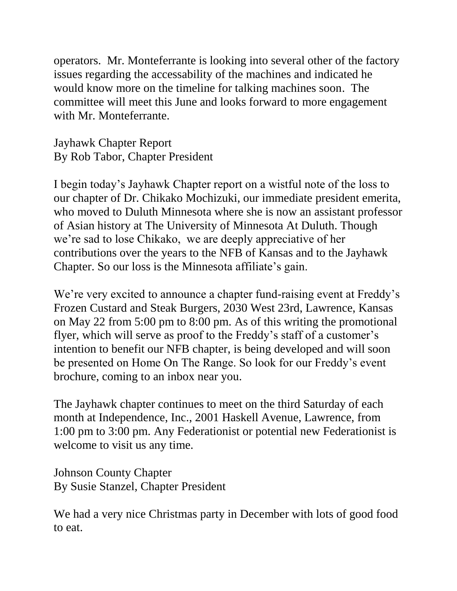operators. Mr. Monteferrante is looking into several other of the factory issues regarding the accessability of the machines and indicated he would know more on the timeline for talking machines soon. The committee will meet this June and looks forward to more engagement with Mr. Monteferrante.

Jayhawk Chapter Report By Rob Tabor, Chapter President

I begin today's Jayhawk Chapter report on a wistful note of the loss to our chapter of Dr. Chikako Mochizuki, our immediate president emerita, who moved to Duluth Minnesota where she is now an assistant professor of Asian history at The University of Minnesota At Duluth. Though we're sad to lose Chikako, we are deeply appreciative of her contributions over the years to the NFB of Kansas and to the Jayhawk Chapter. So our loss is the Minnesota affiliate's gain.

We're very excited to announce a chapter fund-raising event at Freddy's Frozen Custard and Steak Burgers, 2030 West 23rd, Lawrence, Kansas on May 22 from 5:00 pm to 8:00 pm. As of this writing the promotional flyer, which will serve as proof to the Freddy's staff of a customer's intention to benefit our NFB chapter, is being developed and will soon be presented on Home On The Range. So look for our Freddy's event brochure, coming to an inbox near you.

The Jayhawk chapter continues to meet on the third Saturday of each month at Independence, Inc., 2001 Haskell Avenue, Lawrence, from 1:00 pm to 3:00 pm. Any Federationist or potential new Federationist is welcome to visit us any time.

Johnson County Chapter By Susie Stanzel, Chapter President

We had a very nice Christmas party in December with lots of good food to eat.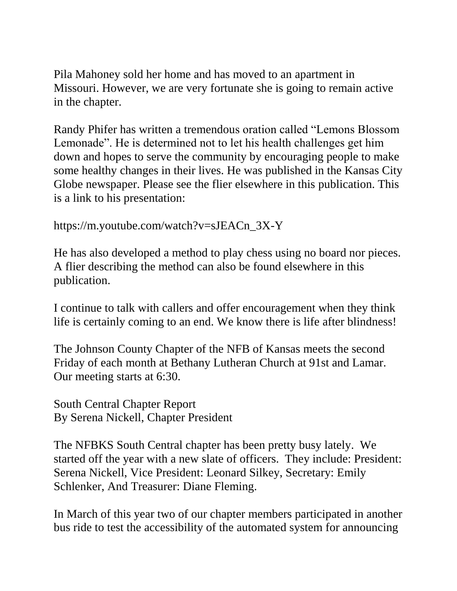Pila Mahoney sold her home and has moved to an apartment in Missouri. However, we are very fortunate she is going to remain active in the chapter.

Randy Phifer has written a tremendous oration called "Lemons Blossom Lemonade". He is determined not to let his health challenges get him down and hopes to serve the community by encouraging people to make some healthy changes in their lives. He was published in the Kansas City Globe newspaper. Please see the flier elsewhere in this publication. This is a link to his presentation:

https://m.youtube.com/watch?v=sJEACn\_3X-Y

He has also developed a method to play chess using no board nor pieces. A flier describing the method can also be found elsewhere in this publication.

I continue to talk with callers and offer encouragement when they think life is certainly coming to an end. We know there is life after blindness!

The Johnson County Chapter of the NFB of Kansas meets the second Friday of each month at Bethany Lutheran Church at 91st and Lamar. Our meeting starts at 6:30.

South Central Chapter Report By Serena Nickell, Chapter President

The NFBKS South Central chapter has been pretty busy lately. We started off the year with a new slate of officers. They include: President: Serena Nickell, Vice President: Leonard Silkey, Secretary: Emily Schlenker, And Treasurer: Diane Fleming.

In March of this year two of our chapter members participated in another bus ride to test the accessibility of the automated system for announcing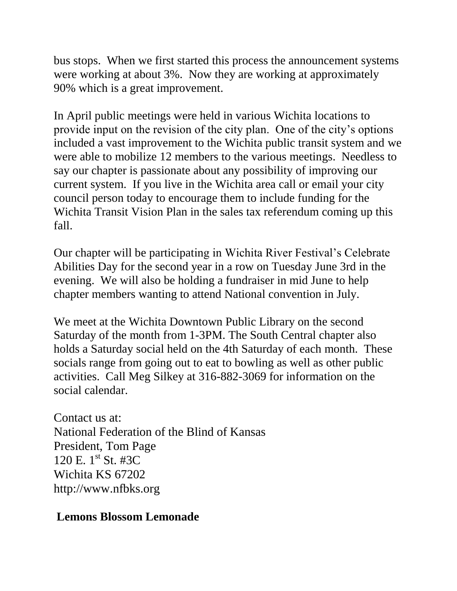bus stops. When we first started this process the announcement systems were working at about 3%. Now they are working at approximately 90% which is a great improvement.

In April public meetings were held in various Wichita locations to provide input on the revision of the city plan. One of the city's options included a vast improvement to the Wichita public transit system and we were able to mobilize 12 members to the various meetings. Needless to say our chapter is passionate about any possibility of improving our current system. If you live in the Wichita area call or email your city council person today to encourage them to include funding for the Wichita Transit Vision Plan in the sales tax referendum coming up this fall.

Our chapter will be participating in Wichita River Festival's Celebrate Abilities Day for the second year in a row on Tuesday June 3rd in the evening. We will also be holding a fundraiser in mid June to help chapter members wanting to attend National convention in July.

We meet at the Wichita Downtown Public Library on the second Saturday of the month from 1-3PM. The South Central chapter also holds a Saturday social held on the 4th Saturday of each month. These socials range from going out to eat to bowling as well as other public activities. Call Meg Silkey at 316-882-3069 for information on the social calendar.

Contact us at: National Federation of the Blind of Kansas President, Tom Page 120 E.  $1^{st}$  St. #3C Wichita KS 67202 http://www.nfbks.org

#### **Lemons Blossom Lemonade**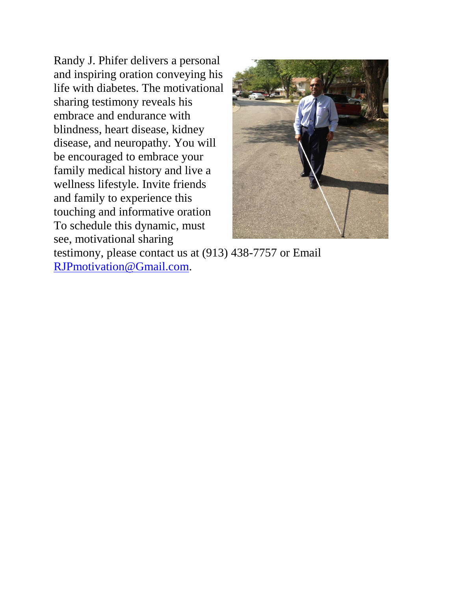Randy J. Phifer delivers a personal and inspiring oration conveying his life with diabetes. The motivational sharing testimony reveals his embrace and endurance with blindness, heart disease, kidney disease, and neuropathy. You will be encouraged to embrace your family medical history and live a wellness lifestyle. Invite friends and family to experience this touching and informative oration To schedule this dynamic, must see, motivational sharing



testimony, please contact us at (913) 438-7757 or Email [RJPmotivation@Gmail.com.](mailto:RJPmotivation@Gmail.com)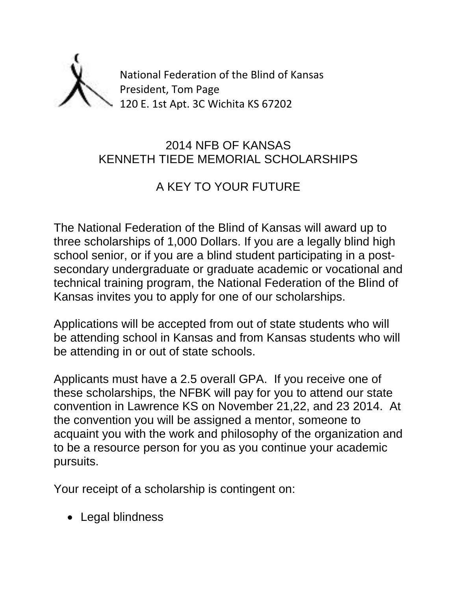

### 2014 NFB OF KANSAS KENNETH TIEDE MEMORIAL SCHOLARSHIPS

## A KEY TO YOUR FUTURE

The National Federation of the Blind of Kansas will award up to three scholarships of 1,000 Dollars. If you are a legally blind high school senior, or if you are a blind student participating in a postsecondary undergraduate or graduate academic or vocational and technical training program, the National Federation of the Blind of Kansas invites you to apply for one of our scholarships.

Applications will be accepted from out of state students who will be attending school in Kansas and from Kansas students who will be attending in or out of state schools.

Applicants must have a 2.5 overall GPA. If you receive one of these scholarships, the NFBK will pay for you to attend our state convention in Lawrence KS on November 21,22, and 23 2014. At the convention you will be assigned a mentor, someone to acquaint you with the work and philosophy of the organization and to be a resource person for you as you continue your academic pursuits.

Your receipt of a scholarship is contingent on:

• Legal blindness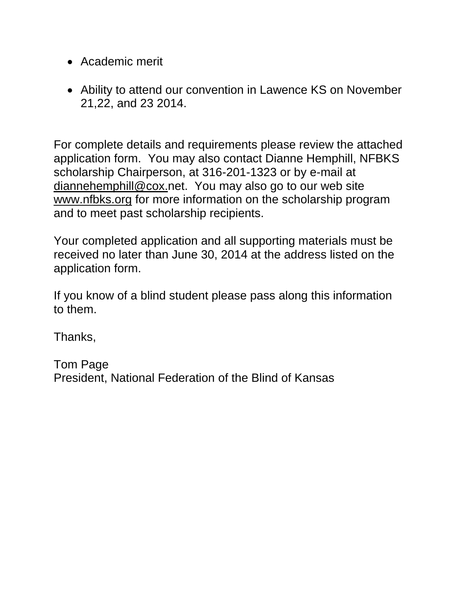- Academic merit
- Ability to attend our convention in Lawence KS on November 21,22, and 23 2014.

For complete details and requirements please review the attached application form. You may also contact Dianne Hemphill, NFBKS scholarship Chairperson, at 316-201-1323 or by e-mail at [diannehemphill@cox.n](mailto:dallashemphill@aol.com)et. You may also go to our web site [www.nfbks.org](http://www.nfbks.org/) for more information on the scholarship program and to meet past scholarship recipients.

Your completed application and all supporting materials must be received no later than June 30, 2014 at the address listed on the application form.

If you know of a blind student please pass along this information to them.

Thanks,

Tom Page President, National Federation of the Blind of Kansas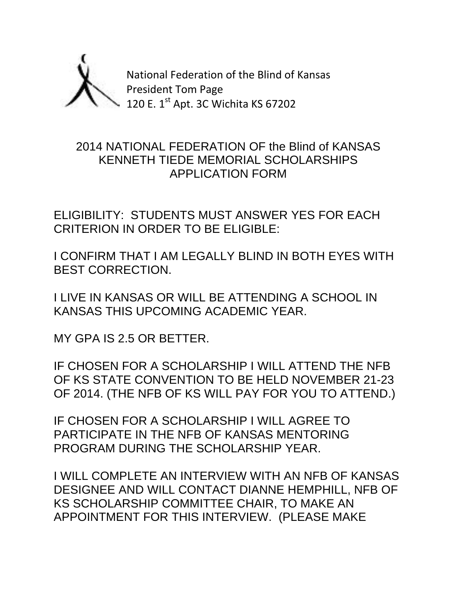

National Federation of the Blind of Kansas President Tom Page 120 E. 1<sup>st</sup> Apt. 3C Wichita KS 67202

#### 2014 NATIONAL FEDERATION OF the Blind of KANSAS KENNETH TIEDE MEMORIAL SCHOLARSHIPS APPLICATION FORM

ELIGIBILITY: STUDENTS MUST ANSWER YES FOR EACH CRITERION IN ORDER TO BE ELIGIBLE:

I CONFIRM THAT I AM LEGALLY BLIND IN BOTH EYES WITH BEST CORRECTION.

I LIVE IN KANSAS OR WILL BE ATTENDING A SCHOOL IN KANSAS THIS UPCOMING ACADEMIC YEAR.

MY GPA IS 2.5 OR BETTER.

IF CHOSEN FOR A SCHOLARSHIP I WILL ATTEND THE NFB OF KS STATE CONVENTION TO BE HELD NOVEMBER 21-23 OF 2014. (THE NFB OF KS WILL PAY FOR YOU TO ATTEND.)

IF CHOSEN FOR A SCHOLARSHIP I WILL AGREE TO PARTICIPATE IN THE NFB OF KANSAS MENTORING PROGRAM DURING THE SCHOLARSHIP YEAR.

I WILL COMPLETE AN INTERVIEW WITH AN NFB OF KANSAS DESIGNEE AND WILL CONTACT DIANNE HEMPHILL, NFB OF KS SCHOLARSHIP COMMITTEE CHAIR, TO MAKE AN APPOINTMENT FOR THIS INTERVIEW. (PLEASE MAKE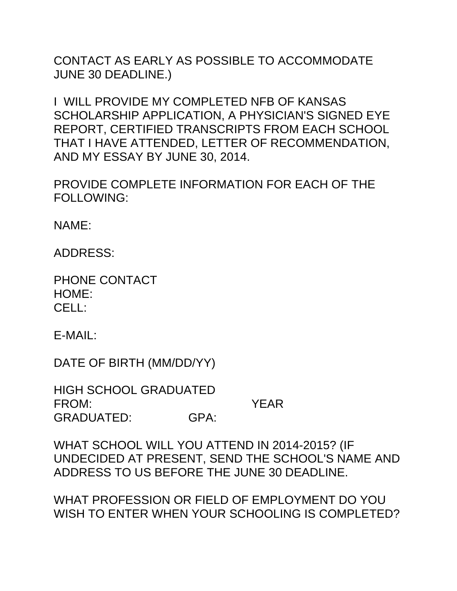CONTACT AS EARLY AS POSSIBLE TO ACCOMMODATE JUNE 30 DEADLINE.)

I WILL PROVIDE MY COMPLETED NFB OF KANSAS SCHOLARSHIP APPLICATION, A PHYSICIAN'S SIGNED EYE REPORT, CERTIFIED TRANSCRIPTS FROM EACH SCHOOL THAT I HAVE ATTENDED, LETTER OF RECOMMENDATION, AND MY ESSAY BY JUNE 30, 2014.

PROVIDE COMPLETE INFORMATION FOR EACH OF THE FOLLOWING:

NAME:

ADDRESS:

PHONE CONTACT HOME: CELL:

E-MAIL:

DATE OF BIRTH (MM/DD/YY)

HIGH SCHOOL GRADUATED FROM: YEAR GRADUATED: GPA:

WHAT SCHOOL WILL YOU ATTEND IN 2014-2015? (IF UNDECIDED AT PRESENT, SEND THE SCHOOL'S NAME AND ADDRESS TO US BEFORE THE JUNE 30 DEADLINE.

WHAT PROFESSION OR FIELD OF EMPLOYMENT DO YOU WISH TO ENTER WHEN YOUR SCHOOLING IS COMPLETED?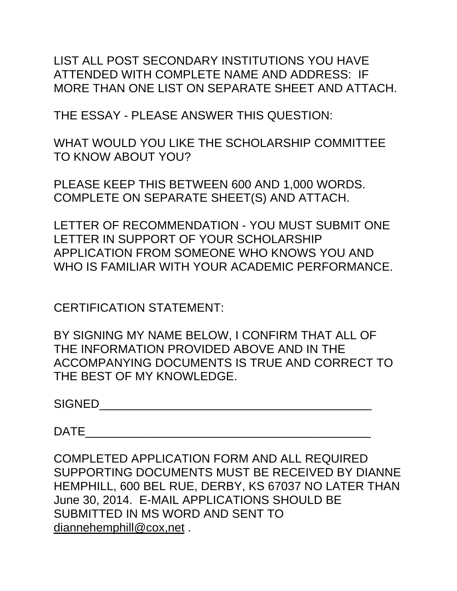LIST ALL POST SECONDARY INSTITUTIONS YOU HAVE ATTENDED WITH COMPLETE NAME AND ADDRESS: IF MORE THAN ONE LIST ON SEPARATE SHEET AND ATTACH.

THE ESSAY - PLEASE ANSWER THIS QUESTION:

WHAT WOULD YOU LIKE THE SCHOLARSHIP COMMITTEE TO KNOW ABOUT YOU?

PLEASE KEEP THIS BETWEEN 600 AND 1,000 WORDS. COMPLETE ON SEPARATE SHEET(S) AND ATTACH.

LETTER OF RECOMMENDATION - YOU MUST SUBMIT ONE LETTER IN SUPPORT OF YOUR SCHOLARSHIP APPLICATION FROM SOMEONE WHO KNOWS YOU AND WHO IS FAMILIAR WITH YOUR ACADEMIC PERFORMANCE.

CERTIFICATION STATEMENT:

BY SIGNING MY NAME BELOW, I CONFIRM THAT ALL OF THE INFORMATION PROVIDED ABOVE AND IN THE ACCOMPANYING DOCUMENTS IS TRUE AND CORRECT TO THE BEST OF MY KNOWLEDGE.

SIGNED\_\_\_\_\_\_\_\_\_\_\_\_\_\_\_\_\_\_\_\_\_\_\_\_\_\_\_\_\_\_\_\_\_\_\_\_\_\_\_\_\_

 $\Box$ 

COMPLETED APPLICATION FORM AND ALL REQUIRED SUPPORTING DOCUMENTS MUST BE RECEIVED BY DIANNE HEMPHILL, 600 BEL RUE, DERBY, KS 67037 NO LATER THAN June 30, 2014. E-MAIL APPLICATIONS SHOULD BE SUBMITTED IN MS WORD AND SENT TO [diannehemphill@cox,net](mailto:diannehemphill@cox.) .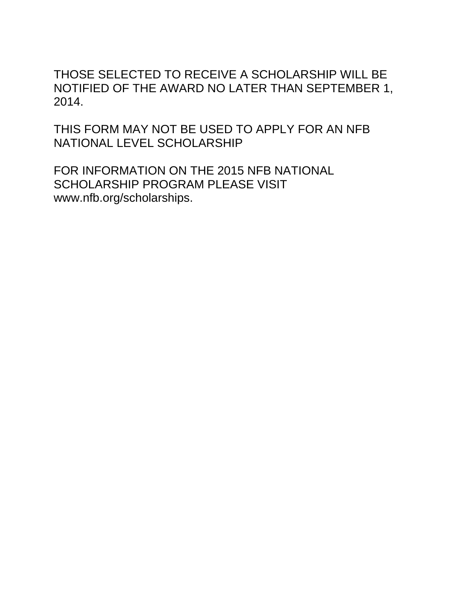THOSE SELECTED TO RECEIVE A SCHOLARSHIP WILL BE NOTIFIED OF THE AWARD NO LATER THAN SEPTEMBER 1, 2014.

THIS FORM MAY NOT BE USED TO APPLY FOR AN NFB NATIONAL LEVEL SCHOLARSHIP

FOR INFORMATION ON THE 2015 NFB NATIONAL SCHOLARSHIP PROGRAM PLEASE VISIT www.nfb.org/scholarships.